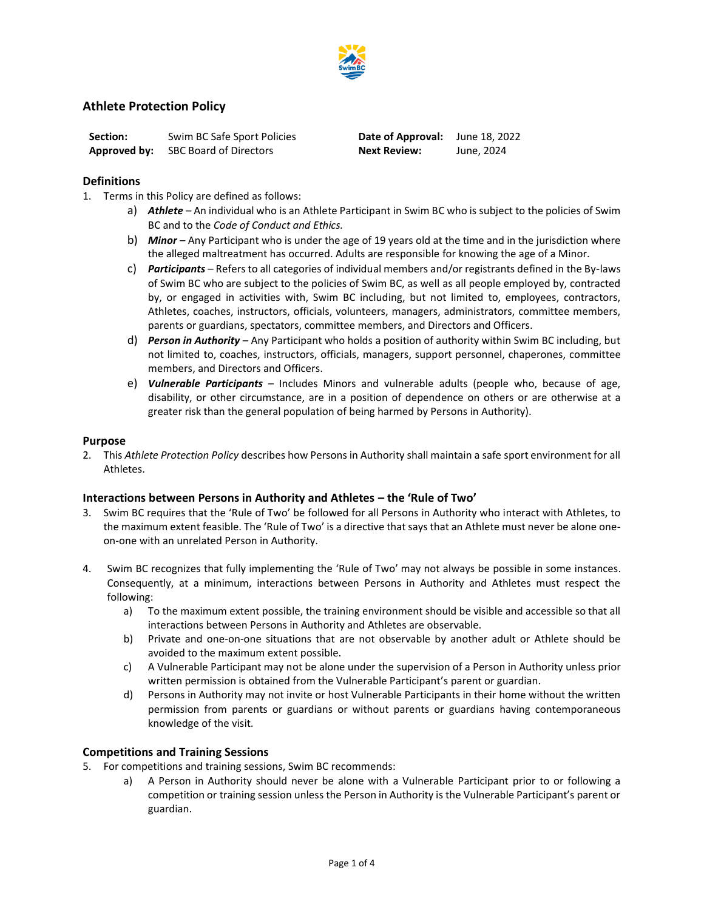

## **Athlete Protection Policy**

| <b>Section:</b> | Swim BC Safe Sport Policies                | <b>Date of Approval:</b> June 18, 2022 |            |
|-----------------|--------------------------------------------|----------------------------------------|------------|
|                 | <b>Approved by:</b> SBC Board of Directors | <b>Next Review:</b>                    | June, 2024 |

#### **Definitions**

- 1. Terms in this Policy are defined as follows:
	- a) *Athlete*  An individual who is an Athlete Participant in Swim BC who is subject to the policies of Swim BC and to the *Code of Conduct and Ethics.*
	- b) *Minor* Any Participant who is under the age of 19 years old at the time and in the jurisdiction where the alleged maltreatment has occurred. Adults are responsible for knowing the age of a Minor.
	- c) *Participants*  Refers to all categories of individual members and/or registrants defined in the By-laws of Swim BC who are subject to the policies of Swim BC, as well as all people employed by, contracted by, or engaged in activities with, Swim BC including, but not limited to, employees, contractors, Athletes, coaches, instructors, officials, volunteers, managers, administrators, committee members, parents or guardians, spectators, committee members, and Directors and Officers.
	- d) *Person in Authority*  Any Participant who holds a position of authority within Swim BC including, but not limited to, coaches, instructors, officials, managers, support personnel, chaperones, committee members, and Directors and Officers.
	- e) *Vulnerable Participants*  Includes Minors and vulnerable adults (people who, because of age, disability, or other circumstance, are in a position of dependence on others or are otherwise at a greater risk than the general population of being harmed by Persons in Authority).

#### **Purpose**

2. This *Athlete Protection Policy* describes how Persons in Authority shall maintain a safe sport environment for all Athletes.

#### **Interactions between Persons in Authority and Athletes – the 'Rule of Two'**

- 3. Swim BC requires that the 'Rule of Two' be followed for all Persons in Authority who interact with Athletes, to the maximum extent feasible. The 'Rule of Two' is a directive that says that an Athlete must never be alone oneon-one with an unrelated Person in Authority.
- 4. Swim BC recognizes that fully implementing the 'Rule of Two' may not always be possible in some instances. Consequently, at a minimum, interactions between Persons in Authority and Athletes must respect the following:
	- a) To the maximum extent possible, the training environment should be visible and accessible so that all interactions between Persons in Authority and Athletes are observable.
	- b) Private and one-on-one situations that are not observable by another adult or Athlete should be avoided to the maximum extent possible.
	- c) A Vulnerable Participant may not be alone under the supervision of a Person in Authority unless prior written permission is obtained from the Vulnerable Participant's parent or guardian.
	- d) Persons in Authority may not invite or host Vulnerable Participants in their home without the written permission from parents or guardians or without parents or guardians having contemporaneous knowledge of the visit.

#### **Competitions and Training Sessions**

- 5. For competitions and training sessions, Swim BC recommends:
	- a) A Person in Authority should never be alone with a Vulnerable Participant prior to or following a competition or training session unless the Person in Authority is the Vulnerable Participant's parent or guardian.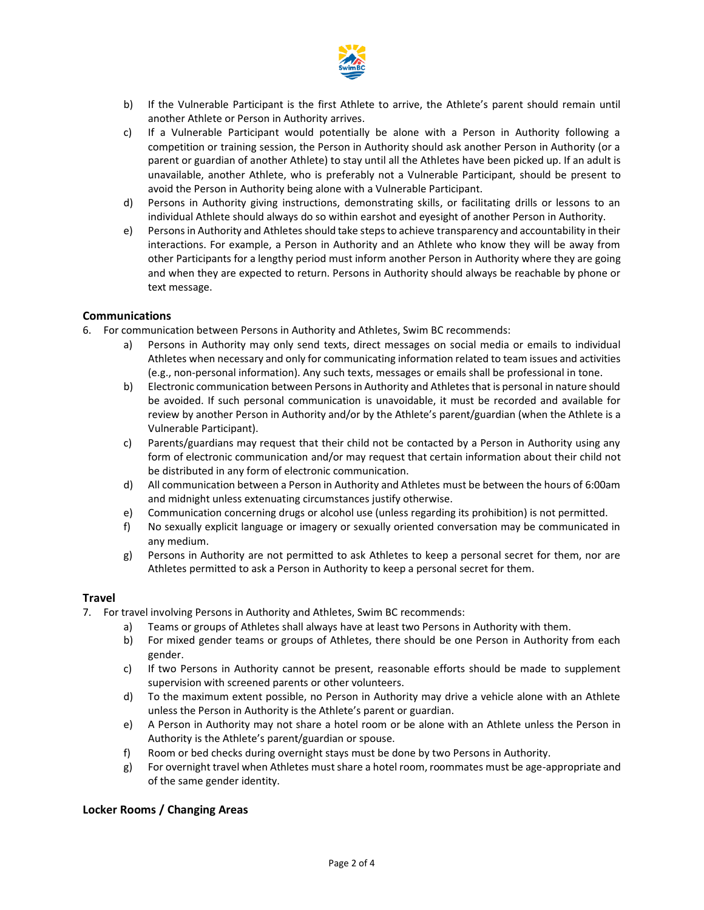

- b) If the Vulnerable Participant is the first Athlete to arrive, the Athlete's parent should remain until another Athlete or Person in Authority arrives.
- c) If a Vulnerable Participant would potentially be alone with a Person in Authority following a competition or training session, the Person in Authority should ask another Person in Authority (or a parent or guardian of another Athlete) to stay until all the Athletes have been picked up. If an adult is unavailable, another Athlete, who is preferably not a Vulnerable Participant, should be present to avoid the Person in Authority being alone with a Vulnerable Participant.
- d) Persons in Authority giving instructions, demonstrating skills, or facilitating drills or lessons to an individual Athlete should always do so within earshot and eyesight of another Person in Authority.
- e) Persons in Authority and Athletes should take steps to achieve transparency and accountability in their interactions. For example, a Person in Authority and an Athlete who know they will be away from other Participants for a lengthy period must inform another Person in Authority where they are going and when they are expected to return. Persons in Authority should always be reachable by phone or text message.

### **Communications**

- 6. For communication between Persons in Authority and Athletes, Swim BC recommends:
	- a) Persons in Authority may only send texts, direct messages on social media or emails to individual Athletes when necessary and only for communicating information related to team issues and activities (e.g., non-personal information). Any such texts, messages or emails shall be professional in tone.
	- b) Electronic communication between Persons in Authority and Athletes that is personal in nature should be avoided. If such personal communication is unavoidable, it must be recorded and available for review by another Person in Authority and/or by the Athlete's parent/guardian (when the Athlete is a Vulnerable Participant).
	- c) Parents/guardians may request that their child not be contacted by a Person in Authority using any form of electronic communication and/or may request that certain information about their child not be distributed in any form of electronic communication.
	- d) All communication between a Person in Authority and Athletes must be between the hours of 6:00am and midnight unless extenuating circumstances justify otherwise.
	- e) Communication concerning drugs or alcohol use (unless regarding its prohibition) is not permitted.
	- f) No sexually explicit language or imagery or sexually oriented conversation may be communicated in any medium.
	- g) Persons in Authority are not permitted to ask Athletes to keep a personal secret for them, nor are Athletes permitted to ask a Person in Authority to keep a personal secret for them.

#### **Travel**

- 7. For travel involving Persons in Authority and Athletes, Swim BC recommends:
	- a) Teams or groups of Athletes shall always have at least two Persons in Authority with them.
	- b) For mixed gender teams or groups of Athletes, there should be one Person in Authority from each gender.
	- c) If two Persons in Authority cannot be present, reasonable efforts should be made to supplement supervision with screened parents or other volunteers.
	- d) To the maximum extent possible, no Person in Authority may drive a vehicle alone with an Athlete unless the Person in Authority is the Athlete's parent or guardian.
	- e) A Person in Authority may not share a hotel room or be alone with an Athlete unless the Person in Authority is the Athlete's parent/guardian or spouse.
	- f) Room or bed checks during overnight stays must be done by two Persons in Authority.
	- g) For overnight travel when Athletes must share a hotel room, roommates must be age-appropriate and of the same gender identity.

#### **Locker Rooms / Changing Areas**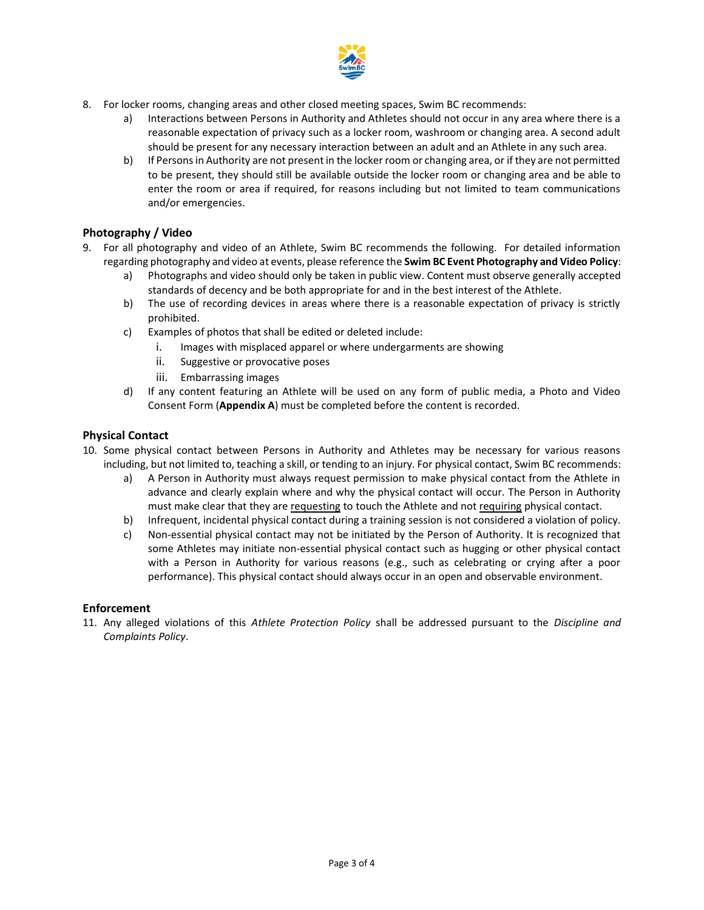

- 8. For locker rooms, changing areas and other closed meeting spaces, Swim BC recommends:
	- a) Interactions between Persons in Authority and Athletes should not occur in any area where there is a reasonable expectation of privacy such as a locker room, washroom or changing area. A second adult should be present for any necessary interaction between an adult and an Athlete in any such area.
	- b) If Persons in Authority are not present in the locker room or changing area, or if they are not permitted to be present, they should still be available outside the locker room or changing area and be able to enter the room or area if required, for reasons including but not limited to team communications and/or emergencies.

## **Photography / Video**

- 9. For all photography and video of an Athlete, Swim BC recommends the following. For detailed information regarding photography and video at events, please reference the **Swim BC Event Photography and Video Policy**:
	- Photographs and video should only be taken in public view. Content must observe generally accepted standards of decency and be both appropriate for and in the best interest of the Athlete.
	- b) The use of recording devices in areas where there is a reasonable expectation of privacy is strictly prohibited.
	- c) Examples of photos that shall be edited or deleted include:
		- i. Images with misplaced apparel or where undergarments are showing
		- ii. Suggestive or provocative poses
		- iii. Embarrassing images
	- d) If any content featuring an Athlete will be used on any form of public media, a Photo and Video Consent Form (**Appendix A**) must be completed before the content is recorded.

### **Physical Contact**

- 10. Some physical contact between Persons in Authority and Athletes may be necessary for various reasons including, but not limited to, teaching a skill, or tending to an injury. For physical contact, Swim BC recommends:
	- a) A Person in Authority must always request permission to make physical contact from the Athlete in advance and clearly explain where and why the physical contact will occur. The Person in Authority must make clear that they are requesting to touch the Athlete and not requiring physical contact.
	- b) Infrequent, incidental physical contact during a training session is not considered a violation of policy.
	- c) Non-essential physical contact may not be initiated by the Person of Authority. It is recognized that some Athletes may initiate non-essential physical contact such as hugging or other physical contact with a Person in Authority for various reasons (e.g., such as celebrating or crying after a poor performance). This physical contact should always occur in an open and observable environment.

#### **Enforcement**

11. Any alleged violations of this *Athlete Protection Policy* shall be addressed pursuant to the *Discipline and Complaints Policy*.